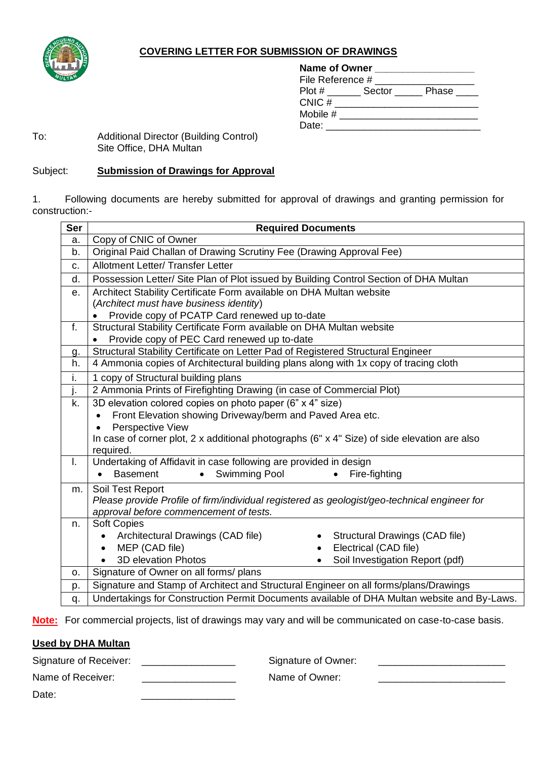

## **COVERING LETTER FOR SUBMISSION OF DRAWINGS**

| Name of Owner    |        |       |  |
|------------------|--------|-------|--|
| File Reference # |        |       |  |
| Plot#            | Sector | Phase |  |
| CNIC#            |        |       |  |
| Mobile $#$       |        |       |  |
| Date:            |        |       |  |
|                  |        |       |  |

## To: Additional Director (Building Control) Site Office, DHA Multan

## Subject: **Submission of Drawings for Approval**

1. Following documents are hereby submitted for approval of drawings and granting permission for construction:-

| <b>Ser</b>     | <b>Required Documents</b>                                                                            |  |  |
|----------------|------------------------------------------------------------------------------------------------------|--|--|
| a.             | Copy of CNIC of Owner                                                                                |  |  |
| b.             | Original Paid Challan of Drawing Scrutiny Fee (Drawing Approval Fee)                                 |  |  |
| C.             | <b>Allotment Letter/ Transfer Letter</b>                                                             |  |  |
| d.             | Possession Letter/ Site Plan of Plot issued by Building Control Section of DHA Multan                |  |  |
| е.             | Architect Stability Certificate Form available on DHA Multan website                                 |  |  |
|                | (Architect must have business identity)                                                              |  |  |
|                | Provide copy of PCATP Card renewed up to-date                                                        |  |  |
| f.             | Structural Stability Certificate Form available on DHA Multan website                                |  |  |
|                | Provide copy of PEC Card renewed up to-date                                                          |  |  |
| g.             | Structural Stability Certificate on Letter Pad of Registered Structural Engineer                     |  |  |
| h.             | 4 Ammonia copies of Architectural building plans along with 1x copy of tracing cloth                 |  |  |
| i.             | 1 copy of Structural building plans                                                                  |  |  |
| j.             | 2 Ammonia Prints of Firefighting Drawing (in case of Commercial Plot)                                |  |  |
| k.             | 3D elevation colored copies on photo paper (6" x 4" size)                                            |  |  |
|                | Front Elevation showing Driveway/berm and Paved Area etc.<br>$\bullet$                               |  |  |
|                | Perspective View                                                                                     |  |  |
|                | In case of corner plot, 2 x additional photographs ( $6" \times 4"$ Size) of side elevation are also |  |  |
|                | required.                                                                                            |  |  |
| L.             | Undertaking of Affidavit in case following are provided in design                                    |  |  |
|                | <b>Swimming Pool</b><br><b>Basement</b><br>Fire-fighting<br>$\bullet$                                |  |  |
| m.             | Soil Test Report                                                                                     |  |  |
|                | Please provide Profile of firm/individual registered as geologist/geo-technical engineer for         |  |  |
|                | approval before commencement of tests.                                                               |  |  |
| n.             | <b>Soft Copies</b>                                                                                   |  |  |
|                | Architectural Drawings (CAD file)<br>Structural Drawings (CAD file)                                  |  |  |
|                | MEP (CAD file)<br>Electrical (CAD file)                                                              |  |  |
|                | <b>3D elevation Photos</b><br>Soil Investigation Report (pdf)<br>$\bullet$                           |  |  |
| O <sub>1</sub> | Signature of Owner on all forms/ plans                                                               |  |  |
| p.             | Signature and Stamp of Architect and Structural Engineer on all forms/plans/Drawings                 |  |  |
| q.             | Undertakings for Construction Permit Documents available of DHA Multan website and By-Laws.          |  |  |

**Note:** For commercial projects, list of drawings may vary and will be communicated on case-to-case basis.

## **Used by DHA Multan**

Signature of Receiver: \_\_\_\_\_\_\_\_\_\_\_\_\_\_\_\_\_\_\_\_\_\_ Signature of Owner: \_\_\_\_\_\_\_\_\_\_\_\_\_\_\_\_\_\_\_\_\_ Name of Receiver: example and a Name of Owner: Date: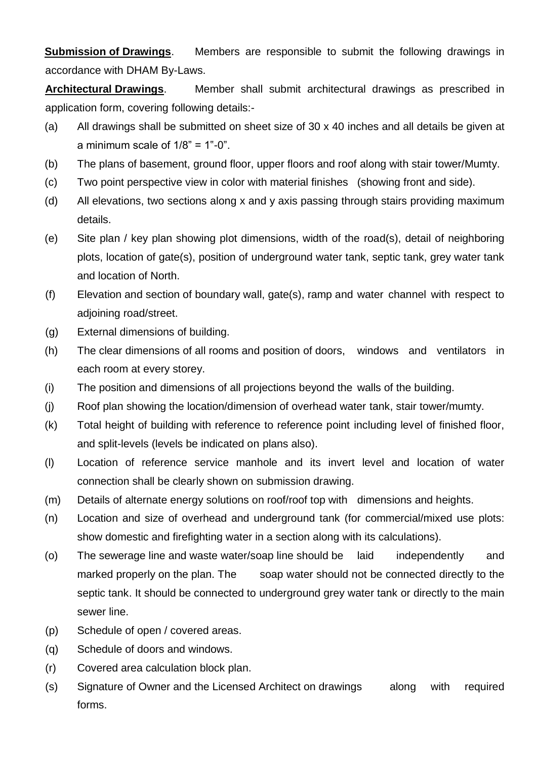**Submission of Drawings.** Members are responsible to submit the following drawings in accordance with DHAM By-Laws.

**Architectural Drawings**. Member shall submit architectural drawings as prescribed in application form, covering following details:-

- (a) All drawings shall be submitted on sheet size of 30 x 40 inches and all details be given at a minimum scale of  $1/8$ " =  $1$ "-0".
- (b) The plans of basement, ground floor, upper floors and roof along with stair tower/Mumty.
- (c) Two point perspective view in color with material finishes (showing front and side).
- (d) All elevations, two sections along x and y axis passing through stairs providing maximum details.
- (e) Site plan / key plan showing plot dimensions, width of the road(s), detail of neighboring plots, location of gate(s), position of underground water tank, septic tank, grey water tank and location of North.
- (f) Elevation and section of boundary wall, gate(s), ramp and water channel with respect to adjoining road/street.
- (g) External dimensions of building.
- (h) The clear dimensions of all rooms and position of doors, windows and ventilators in each room at every storey.
- (i) The position and dimensions of all projections beyond the walls of the building.
- (j) Roof plan showing the location/dimension of overhead water tank, stair tower/mumty.
- (k) Total height of building with reference to reference point including level of finished floor, and split-levels (levels be indicated on plans also).
- (l) Location of reference service manhole and its invert level and location of water connection shall be clearly shown on submission drawing.
- (m) Details of alternate energy solutions on roof/roof top with dimensions and heights.
- (n) Location and size of overhead and underground tank (for commercial/mixed use plots: show domestic and firefighting water in a section along with its calculations).
- (o) The sewerage line and waste water/soap line should be laid independently and marked properly on the plan. The soap water should not be connected directly to the septic tank. It should be connected to underground grey water tank or directly to the main sewer line.
- (p) Schedule of open / covered areas.
- (q) Schedule of doors and windows.
- (r) Covered area calculation block plan.
- (s) Signature of Owner and the Licensed Architect on drawings along with required forms.